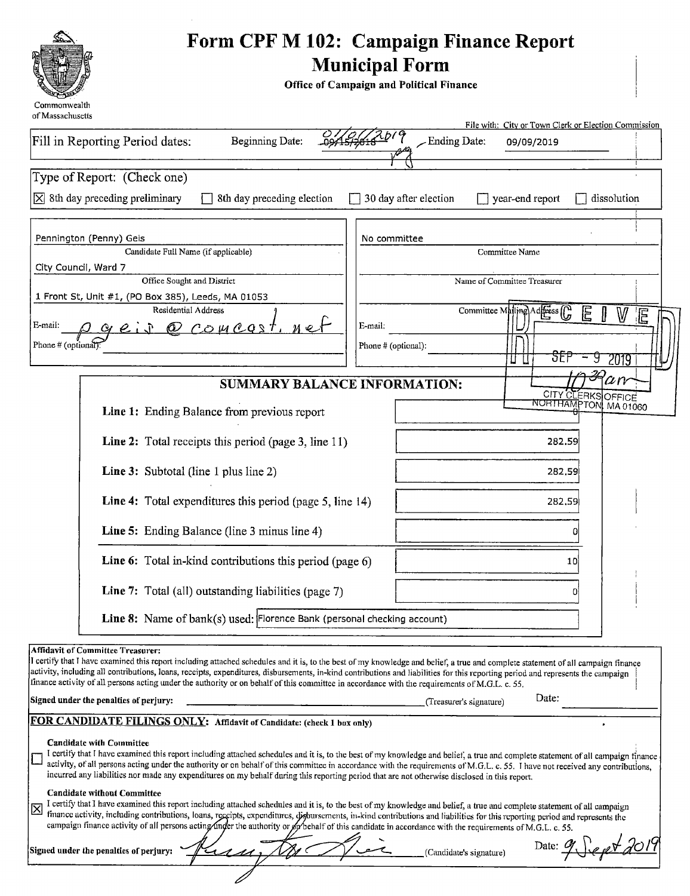|                                                                                    | Form CPF M 102: Campaign Finance Report<br><b>Municipal Form</b><br>Office of Campaign and Political Finance |
|------------------------------------------------------------------------------------|--------------------------------------------------------------------------------------------------------------|
| Commonwealth<br>of Massachusetts                                                   |                                                                                                              |
| Fill in Reporting Period dates:<br><b>Beginning Date:</b>                          | File with: City or Town Clerk or Election Commission<br>10(9)<br>$\angle$ Ending Date:<br>09/09/2019         |
| Type of Report: (Check one)                                                        |                                                                                                              |
| $[\overline{\times}]$ 8th day preceding preliminary<br>8th day preceding election  | 30 day after election<br>year-end report<br>dissolution                                                      |
| Pennington (Penny) Geis<br>Candidate Full Name (if applicable)                     | No committee<br>Committee Name                                                                               |
| City Council, Ward 7                                                               | Name of Committee Treasurer                                                                                  |
| Office Sought and District<br>1 Front St, Unit #1, (PO Box 385), Leeds, MA 01053   |                                                                                                              |
| Residential Address<br>E-mail:<br><u>@ COMCOST</u> ,                               | Committee Mailing Address (C<br>E<br>W<br>E<br>E-mail.                                                       |
| Phone # (optional)                                                                 | Phone # (optional):<br>δĒ<br>2019<br>u                                                                       |
|                                                                                    | $\it an$                                                                                                     |
| <b>SUMMARY BALANCE INFORMATION:</b><br>Line 1: Ending Balance from previous report | CITY CLERKS OFFICE<br>NORTHAMPTON MA 01060                                                                   |
| Line 2: Total receipts this period (page 3, line 11)                               | 282.59                                                                                                       |
| Line 3: Subtotal (line 1 plus line 2)                                              | 282.59                                                                                                       |
| Line 4: Total expenditures this period (page 5, line 14)                           | 282.59                                                                                                       |
| Line 5: Ending Balance (line 3 minus line 4)                                       | 0                                                                                                            |
| Line 6: Total in-kind contributions this period (page 6)                           | 10                                                                                                           |
| Line 7: Total (all) outstanding liabilities (page 7)                               |                                                                                                              |
| Line 8: Name of bank(s) used: Florence Bank (personal checking account)            |                                                                                                              |

**Affidavit of Committee Treasurer:** 

i certify that <sup>r</sup> have examined this report including attached schedules and it is, to the best of my knowledge and belief, <sup>a</sup> true and complete statement of all campaign finance activity, including all contributions, loans, receipts, expenditures, disbursements, in- kind contributions and liabilities for this reporting period and represents the campaign finance activity of all persons acting under the authority or on behalf of this committee in accordance with the requirements of M.G.L. c. 55.

Signed under the penalties of perjury: Treasurer' <sup>s</sup> signature)

#### FOR CANDIDATE FILINGS ONLY: Affidavit of Candidate: (check 1 box only)

#### Candidate with Committee

I certify that I have examined this report including attached schedules and it is, to the best of my knowledge and belief, a true and complete statement of all campaign finance  $\Box$ activity, of all persons acting under the authority or on behalf of this committee in accordance with the requirements of M.G.L. c. 55. I have not received any contributions, incurred any liabilities nor made any expenditures on my behalf during this reporting period that are not otherwise disclosed in this report.

Date:  $9 \int e \rho \sqrt{d} \theta$ 

Date:

#### Candidate without Committee

I certify that I have examined this report including attached schedules and it is, to the best of my knowledge and belief, a true and complete statement of all campaign 図 finance activity, including contributions, loans, receipts, expenditures, disbursements, in-kind contributions and liabilities for this reporting period and represents the campaign finance activity of all persons acting/inder the authority or op behalf of this candidate in accordance with the requirements of M.G.L. c. 55.

| Signed under the penalties of perjury: | ∼<br>$\tilde{\phantom{a}}$ |  | (Candidate's signature) |
|----------------------------------------|----------------------------|--|-------------------------|
|                                        |                            |  |                         |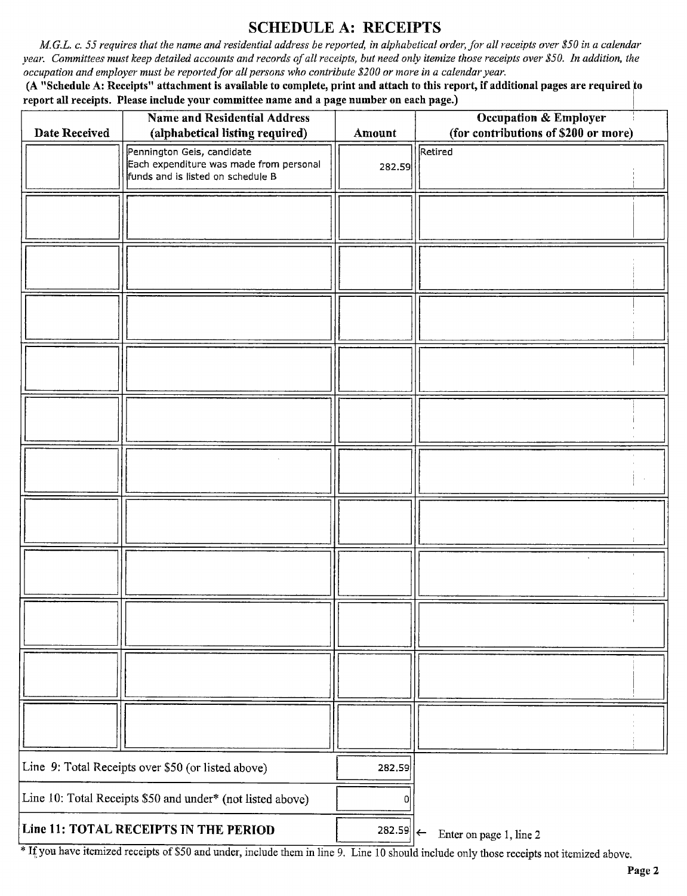#### SCHEDULE A: RECEIPTS

M.G.L. c. 55 requires that the name and residential address be reported, in alphabetical order, for all receipts over \$50 in a calendar year. Committees must keep detailed accounts and records of all receipts, but need only itemize those receipts over \$50. In addition, the occupation and employer must be reported for all persons who contribute \$200 or more in a calendar year.

A" Schedule A: Receipts" attachment is available to complete, print and attach to this report, if additional pages are required; to report all receipts. Please include your committee name and a page number on each page.)

| Date Received                                              | <b>Name and Residential Address</b><br>(alphabetical listing required)                                     | Amount                  | <b>Occupation &amp; Employer</b><br>(for contributions of \$200 or more) |
|------------------------------------------------------------|------------------------------------------------------------------------------------------------------------|-------------------------|--------------------------------------------------------------------------|
|                                                            | Pennington Geis, candidate<br>Each expenditure was made from personal<br>funds and is listed on schedule B | 282.59                  | Retired                                                                  |
|                                                            |                                                                                                            |                         |                                                                          |
|                                                            |                                                                                                            |                         |                                                                          |
|                                                            |                                                                                                            |                         |                                                                          |
|                                                            |                                                                                                            |                         |                                                                          |
|                                                            |                                                                                                            |                         |                                                                          |
|                                                            |                                                                                                            |                         |                                                                          |
|                                                            |                                                                                                            |                         |                                                                          |
|                                                            |                                                                                                            |                         |                                                                          |
|                                                            |                                                                                                            |                         |                                                                          |
|                                                            |                                                                                                            |                         |                                                                          |
|                                                            |                                                                                                            |                         |                                                                          |
| Line 9: Total Receipts over \$50 (or listed above)         |                                                                                                            | 282.59                  |                                                                          |
| Line 10: Total Receipts \$50 and under* (not listed above) |                                                                                                            | 0                       |                                                                          |
|                                                            | Line 11: TOTAL RECEIPTS IN THE PERIOD                                                                      | $282.59$   $\leftarrow$ | Enter on page 1, line 2                                                  |

<sup>\*</sup> If you have itemized receipts of \$50 and under, include them in line 9. Line 10 should include only those receipts not itemized above.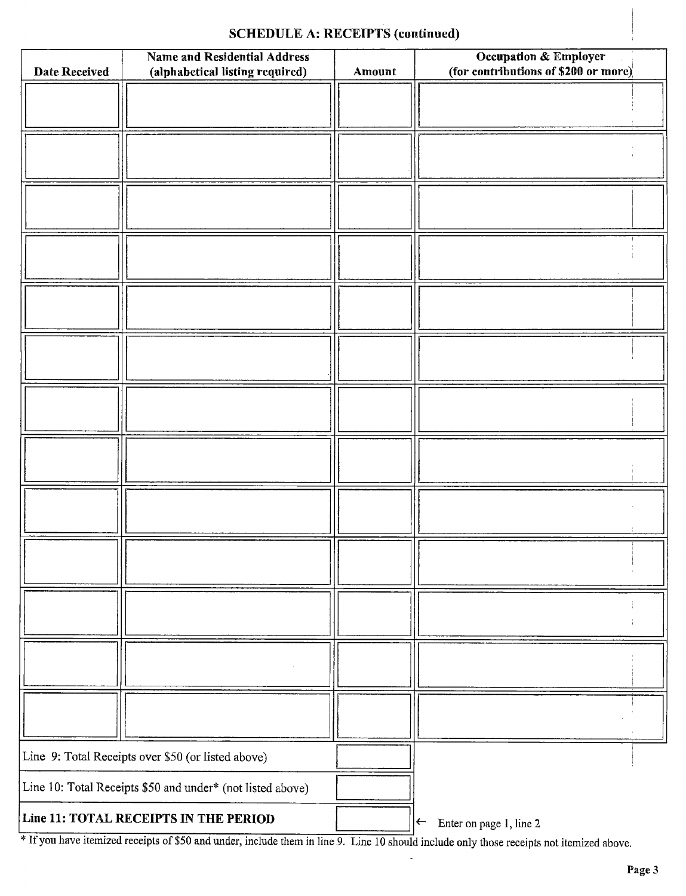### SCHEDULE A: RECEIPTS (continued)

| Date Received                                      | <b>Name and Residential Address</b><br>(alphabetical listing required) | Amount | <b>Occupation &amp; Employer</b><br>(for contributions of \$200 or more) $\vert$ |
|----------------------------------------------------|------------------------------------------------------------------------|--------|----------------------------------------------------------------------------------|
|                                                    |                                                                        |        |                                                                                  |
|                                                    |                                                                        |        |                                                                                  |
|                                                    |                                                                        |        |                                                                                  |
|                                                    |                                                                        |        |                                                                                  |
|                                                    |                                                                        |        |                                                                                  |
|                                                    |                                                                        |        |                                                                                  |
|                                                    |                                                                        |        |                                                                                  |
|                                                    |                                                                        |        |                                                                                  |
|                                                    |                                                                        |        |                                                                                  |
|                                                    |                                                                        |        |                                                                                  |
|                                                    |                                                                        |        |                                                                                  |
|                                                    |                                                                        |        |                                                                                  |
|                                                    |                                                                        |        |                                                                                  |
|                                                    |                                                                        |        |                                                                                  |
|                                                    |                                                                        |        |                                                                                  |
|                                                    |                                                                        |        |                                                                                  |
|                                                    |                                                                        |        |                                                                                  |
|                                                    |                                                                        |        |                                                                                  |
|                                                    |                                                                        |        |                                                                                  |
|                                                    |                                                                        |        |                                                                                  |
|                                                    |                                                                        |        |                                                                                  |
|                                                    |                                                                        |        |                                                                                  |
|                                                    |                                                                        |        |                                                                                  |
|                                                    |                                                                        |        |                                                                                  |
|                                                    |                                                                        |        |                                                                                  |
|                                                    |                                                                        |        |                                                                                  |
| Line 9: Total Receipts over \$50 (or listed above) |                                                                        |        |                                                                                  |
|                                                    | Line 10: Total Receipts \$50 and under* (not listed above)             |        |                                                                                  |
|                                                    | Line 11: TOTAL RECEIPTS IN THE PERIOD                                  |        | $\leftarrow$<br>Enter on page 1, line 2                                          |

<sup>#</sup> If you have itemized receipts of \$50 and under, include them in line 9. Line 10 should include only those receipts not itemized above.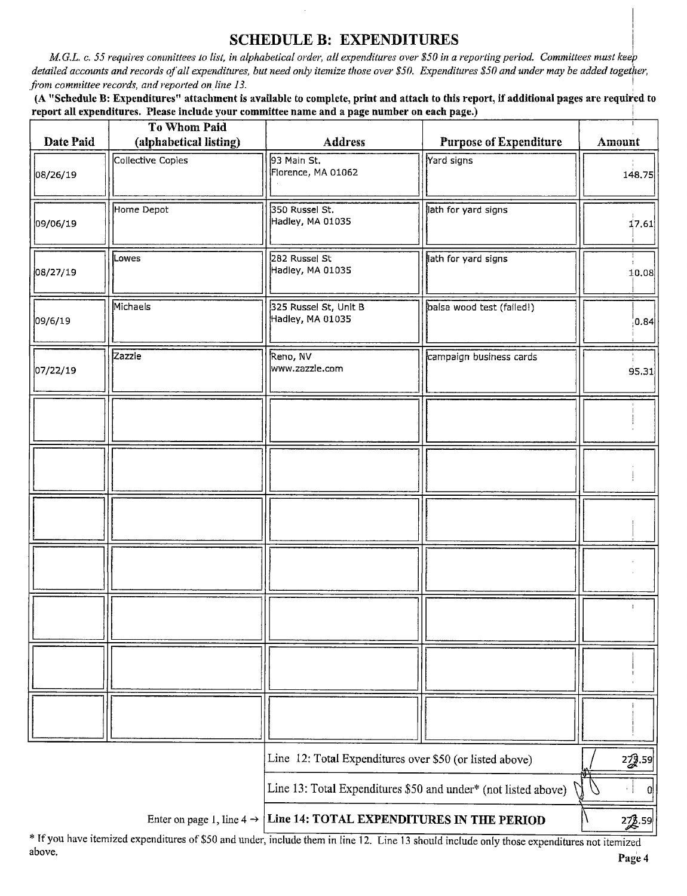#### SCHEDULE B: EXPENDITURES

M.G.L. c. 55 requires committees to list, in alphabetical order, all expenditures over \$50 in a reporting period. Committees must keep detailed accounts and records of all expenditures, but need only itemize those over \$50. Expenditures \$50 and under may be added together, from committee records, and reported on line 13.

A" Schedule B: Expenditures" attachment is available to complete, print and attach to this report, if additional pages are required to report all expenditures. Please include your committee name and a page number on each page.)

| Date Paid                                                      | To Whom Paid<br>(alphabetical listing)                                             | <b>Address</b>                            | <b>Purpose of Expenditure</b> | Amount       |
|----------------------------------------------------------------|------------------------------------------------------------------------------------|-------------------------------------------|-------------------------------|--------------|
| 08/26/19                                                       | Collective Copies                                                                  | 93 Main St.<br>Florence, MA 01062         | Yard signs                    | 148.75       |
| 09/06/19                                                       | Home Depot                                                                         | 350 Russel St.<br>Hadley, MA 01035        | lath for yard signs           | 17.61        |
| 08/27/19                                                       | Lowes                                                                              | 282 Russel St<br>Hadley, MA 01035         | lath for yard signs           | 10.08        |
| 09/6/19                                                        | Michaels                                                                           | 325 Russel St, Unit B<br>Hadley, MA 01035 | balsa wood test (failed!)     | 0.84         |
| 07/22/19                                                       | Zazzle                                                                             | Reno, NV<br>www.zazzle.com                | campaign business cards       | 95.31        |
|                                                                |                                                                                    |                                           |                               |              |
|                                                                |                                                                                    |                                           |                               |              |
|                                                                |                                                                                    |                                           |                               |              |
|                                                                |                                                                                    |                                           |                               |              |
|                                                                |                                                                                    |                                           |                               |              |
|                                                                |                                                                                    |                                           |                               |              |
|                                                                |                                                                                    |                                           |                               |              |
|                                                                | Line 12: Total Expenditures over \$50 (or listed above)                            |                                           |                               | 229.59       |
| Line 13: Total Expenditures \$50 and under* (not listed above) |                                                                                    |                                           |                               | <sub>0</sub> |
|                                                                | Line 14: TOTAL EXPENDITURES IN THE PERIOD<br>Enter on page 1, line 4 $\rightarrow$ |                                           |                               | 22.59        |

\* If you have itemized expenditures of \$50 and under, include them in line 12. Line 13 should include only those expenditures not itemized above.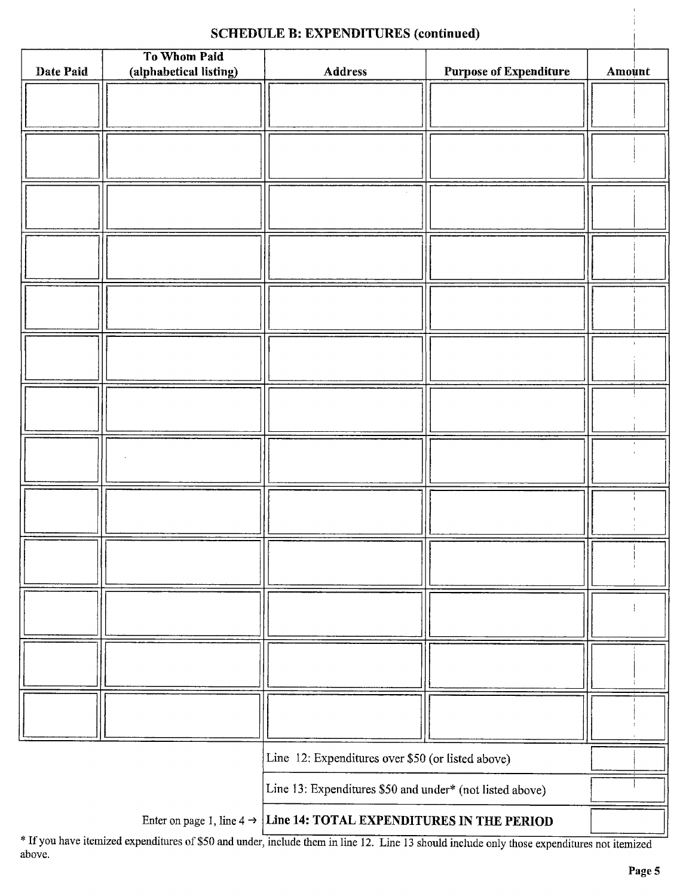## SCHEDULE B: EXPENDITURES (continued)

|                                                                                 | To Whom Paid           |         |                               |        |
|---------------------------------------------------------------------------------|------------------------|---------|-------------------------------|--------|
| Date Paid                                                                       | (alphabetical listing) | Address | <b>Purpose of Expenditure</b> | Amount |
|                                                                                 |                        |         |                               |        |
|                                                                                 |                        |         |                               |        |
|                                                                                 |                        |         |                               |        |
|                                                                                 |                        |         |                               |        |
|                                                                                 |                        |         |                               |        |
|                                                                                 |                        |         |                               |        |
|                                                                                 |                        |         |                               |        |
|                                                                                 |                        |         |                               |        |
|                                                                                 |                        |         |                               |        |
|                                                                                 |                        |         |                               |        |
|                                                                                 |                        |         |                               |        |
|                                                                                 |                        |         |                               |        |
|                                                                                 |                        |         |                               |        |
|                                                                                 |                        |         |                               |        |
|                                                                                 |                        |         |                               |        |
|                                                                                 |                        |         |                               |        |
|                                                                                 |                        |         |                               |        |
|                                                                                 |                        |         |                               |        |
|                                                                                 |                        |         |                               |        |
|                                                                                 |                        |         |                               |        |
|                                                                                 |                        |         |                               |        |
|                                                                                 |                        |         |                               |        |
|                                                                                 |                        |         |                               |        |
|                                                                                 |                        |         |                               |        |
|                                                                                 |                        |         |                               |        |
|                                                                                 |                        |         |                               |        |
|                                                                                 |                        |         |                               |        |
|                                                                                 |                        |         |                               |        |
|                                                                                 |                        |         |                               |        |
|                                                                                 |                        |         |                               |        |
|                                                                                 |                        |         |                               |        |
|                                                                                 |                        |         |                               |        |
|                                                                                 |                        |         |                               |        |
| Line 12: Expenditures over \$50 (or listed above)                               |                        |         |                               |        |
| Line 13: Expenditures \$50 and under* (not listed above)                        |                        |         |                               |        |
| Enter on page 1, line $4 \rightarrow$ Line 14: TOTAL EXPENDITURES IN THE PERIOD |                        |         |                               |        |

If you have itemized expenditures of \$50 and under, include them in line 12. Line 13 should include only those expenditures not itemized above.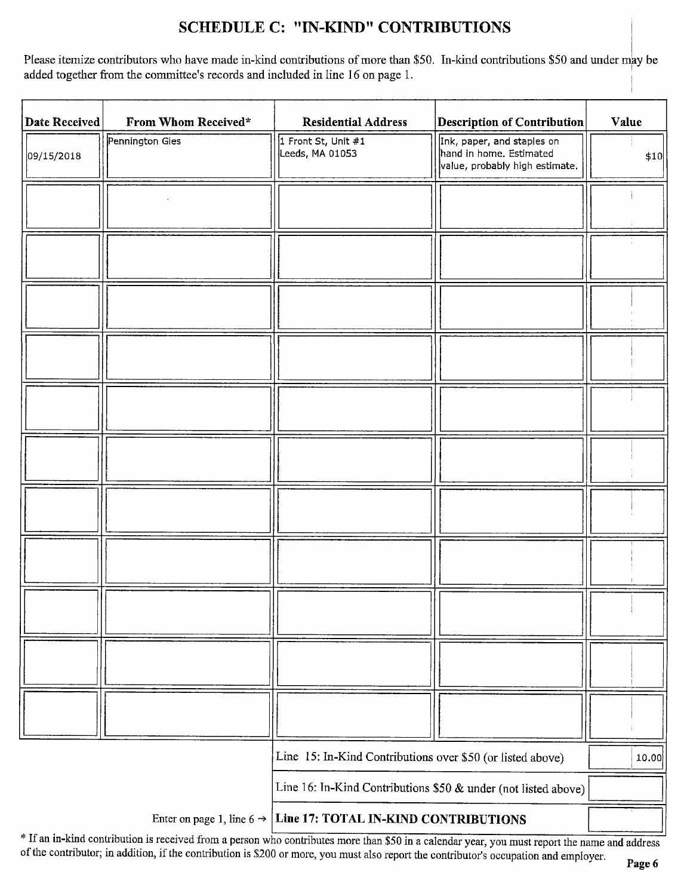# SCHEDULE C: " IN-KIND" CONTRIBUTIONS

Please itemize contributors who have made in-kind contributions of more than \$50. In-kind contributions \$50 and under may be added together from the committee's records and included in line 16 on page 1.

| <b>Date Received</b> | From Whom Received*                   | <b>Residential Address</b>                                     | <b>Description of Contribution</b>                                                      | Value |
|----------------------|---------------------------------------|----------------------------------------------------------------|-----------------------------------------------------------------------------------------|-------|
| 09/15/2018           | Pennington Gies                       | 1 Front St, Unit #1<br>Leeds, MA 01053                         | Ink, paper, and staples on<br>hand in home. Estimated<br>value, probably high estimate. | \$10  |
|                      |                                       |                                                                |                                                                                         |       |
|                      |                                       |                                                                |                                                                                         |       |
|                      |                                       |                                                                |                                                                                         |       |
|                      |                                       |                                                                |                                                                                         |       |
|                      |                                       |                                                                |                                                                                         |       |
|                      |                                       |                                                                |                                                                                         |       |
|                      |                                       |                                                                |                                                                                         |       |
|                      |                                       |                                                                |                                                                                         |       |
|                      |                                       |                                                                |                                                                                         |       |
|                      |                                       |                                                                |                                                                                         |       |
|                      |                                       |                                                                |                                                                                         |       |
|                      |                                       | Line 15: In-Kind Contributions over \$50 (or listed above)     |                                                                                         | 10.00 |
|                      |                                       | Line 16: In-Kind Contributions \$50 & under (not listed above) |                                                                                         |       |
|                      | Enter on page 1, line 6 $\rightarrow$ | Line 17: TOTAL IN-KIND CONTRIBUTIONS                           |                                                                                         |       |

If an in-kind contribution is received from a person who contributes more than \$50 in a calendar year, you must report the name and address of the contributor; in addition, if the contribution is \$200 or more, you must also report the contributor's occupation and employer.